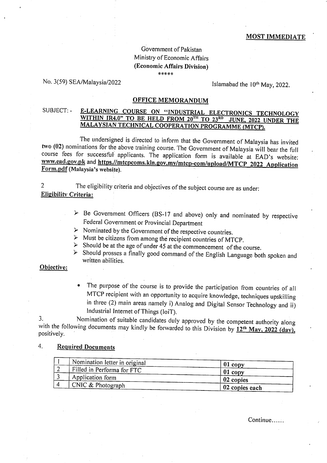# Government of Pakistan Ministry of Economic Affairs (Economic Affairs Division) \*\*\*\*\*

## No. 3(59) SEA/Malaysia/2022

Islamabad the 10<sup>th</sup> May, 2022.

# **OFFICE MEMORANDUM**

### E-LEARNING COURSE ON "INDUSTRIAL ELECTRONICS TECHNOLOGY SUBJECT: -WITHIN IR4.0" TO BE HELD FROM 20<sup>TH</sup> TO 23<sup>RD</sup> JUNE, 2022 UNDER THE MALAYSIAN TECHNICAL COOPERATION PROGRAMME (MTCP).

The undersigned is directed to inform that the Government of Malaysia has invited two (02) nominations for the above training course. The Government of Malaysia will bear the full course fees for successful applicants. The application form is available at EAD's website: www.ead.gov.pk and https.//mtcpcoms.kln.gov.my/mtcp-com/upload/MTCP 2022 Application Form.pdf (Malaysia's website).

The eligibility criteria and objectives of the subject course are as under:  $\mathcal{D}$ **Eligibility Criteria:** 

- $\triangleright$  Be Government Officers (BS-17 and above) only and nominated by respective Federal Government or Provincial Department
- $\triangleright$  Nominated by the Government of the respective countries.
- $\triangleright$  Must be citizens from among the recipient countries of MTCP.
- $\geq$  Should be at the age of under 45 at the commencement of the course.
- > Should prosses a finally good command of the English Language both spoken and written abilities.

### Objective:

The purpose of the course is to provide the participation from countries of all MTCP recipient with an opportunity to acquire knowledge, techniques upskilling in three (2) main areas namely i) Analog and Digital Sensor Technology and ii) Industrial Internet of Things (IoiT).

Nomination of suitable candidates duly approved by the competent authority along 3. with the following documents may kindly be forwarded to this Division by  $12^{th}$  May, 2022 (day), positively.

#### $4.$ **Required Documents**

| Nomination letter in original | $01$ copy      |
|-------------------------------|----------------|
| Filled in Performa for FTC    | $01$ copy      |
| Application form              | 02 copies      |
| $\sim$ CNIC & Photograph      | 02 copies each |

Continue......